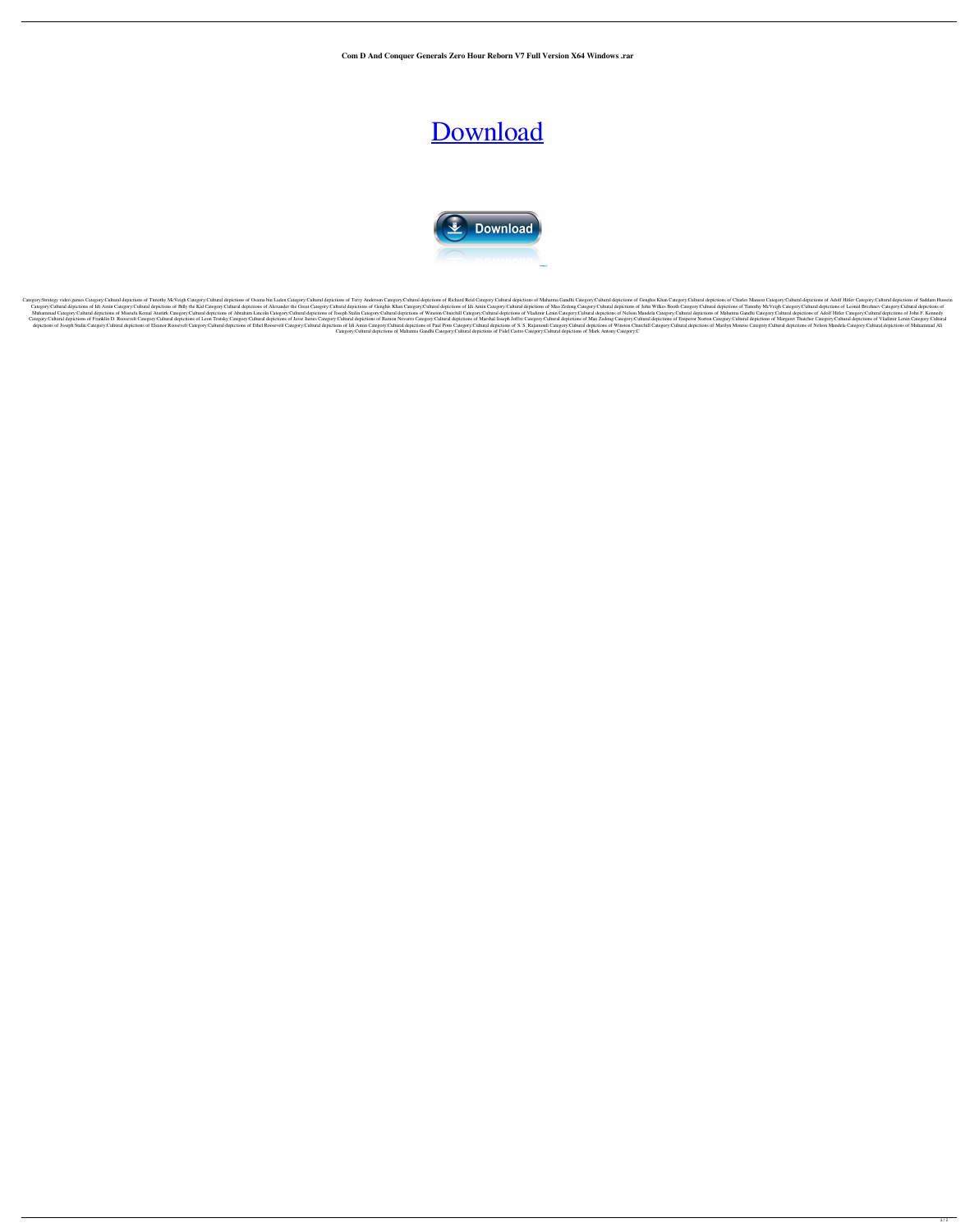**Com D And Conquer Generals Zero Hour Reborn V7 Full Version X64 Windows .rar**

## [Download](http://evacdir.com/consensually.depositories?Y29tbWFuZCBhbmQgY29ucXVlciBnZW5lcmFscyB6ZXJvIGhvdXIgcmVib3JuIHY3IGRvd25sb2FkY29=ZG93bmxvYWR8V3M0ZFdVeGZId3hOalV5TnpRd09EWTJmSHd5TlRjMGZId29UU2tnY21WaFpDMWliRzluSUZ0R1lYTjBJRWRGVGww/enthrallment/hybridize/slas)



Category:Strategy video games Category:Cultural depictions of Timothy McVeigh Category:Cultural depictions of Osama bin Laden Category:Cultural depictions of Terry Anderson Category:Cultural depictions of Richard Reid Cate Category:Cultural depictions of Idi Amin Category:Cultural depictions of Billy the Kid Category:Cultural depictions of Alexander the Great Category:Cultural depictions of Genghis Khan Category:Cultural depictions of Idi Am Muhammad Category:Cultural depictions of Mustafa Kemal Atatürk Category:Cultural depictions of Abraham Lincoln Category:Cultural depictions of Joseph Stalin Category:Cultural depictions of Winston Churchill Category:Cultur Category:Cultural depictions of Franklin D. Roosevelt Category:Cultural depictions of Leon Trotsky Category:Cultural depictions of Jesse James Category:Cultural depictions of Ramon Novarro Category:Cultural depictions of M depictions of Joseph Stalin Category:Cultural depictions of Eleanor Roosevelt Category:Cultural depictions of Ethel Roosevelt Category:Cultural depictions of Idi Amin Category:Cultural depictions of Minston Churchill Categ Category:Cultural depictions of Mahatma Gandhi Category:Cultural depictions of Fidel Castro Category:Cultural depictions of Mark Antony Category:C